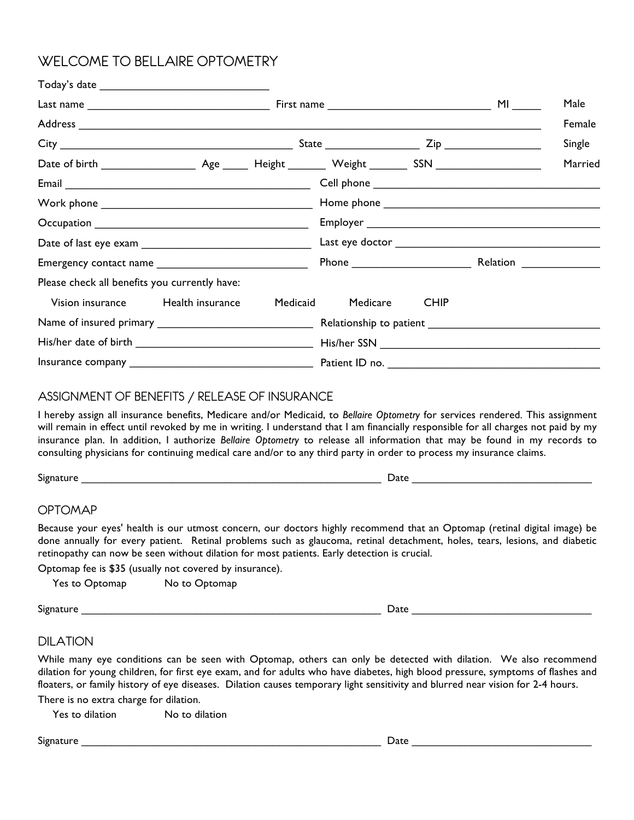# WELCOME TO BELLAIRE OPTOMETRY

|                                                                                                                                                                                                                                                                                                                                                                                                                                         |          |                         |             |  | Male    |  |
|-----------------------------------------------------------------------------------------------------------------------------------------------------------------------------------------------------------------------------------------------------------------------------------------------------------------------------------------------------------------------------------------------------------------------------------------|----------|-------------------------|-------------|--|---------|--|
|                                                                                                                                                                                                                                                                                                                                                                                                                                         |          |                         |             |  | Female  |  |
|                                                                                                                                                                                                                                                                                                                                                                                                                                         |          |                         |             |  | Single  |  |
|                                                                                                                                                                                                                                                                                                                                                                                                                                         |          |                         |             |  | Married |  |
|                                                                                                                                                                                                                                                                                                                                                                                                                                         |          |                         |             |  |         |  |
| $\text{Work phone} \underbrace{\hspace{2cm} \hspace{2cm} \hspace{2cm} \hspace{2cm} \hspace{2cm} \hspace{2cm} \hspace{2cm} \hspace{2cm} \hspace{2cm} \hspace{2cm} \hspace{2cm} \hspace{2cm} \hspace{2cm} \hspace{2cm} \hspace{2cm} \hspace{2cm} \hspace{2cm} \hspace{2cm} \hspace{2cm} \hspace{2cm} \hspace{2cm} \hspace{2cm} \hspace{2cm} \hspace{2cm} \hspace{2cm} \hspace{2cm} \hspace{2cm} \hspace{2cm} \hspace{2cm} \hspace{2cm} \$ |          |                         |             |  |         |  |
|                                                                                                                                                                                                                                                                                                                                                                                                                                         |          |                         |             |  |         |  |
|                                                                                                                                                                                                                                                                                                                                                                                                                                         |          |                         |             |  |         |  |
| Emergency contact name                                                                                                                                                                                                                                                                                                                                                                                                                  |          | Phone Relation Relation |             |  |         |  |
| Please check all benefits you currently have:                                                                                                                                                                                                                                                                                                                                                                                           |          |                         |             |  |         |  |
| Vision insurance Health insurance                                                                                                                                                                                                                                                                                                                                                                                                       | Medicaid | Medicare                | <b>CHIP</b> |  |         |  |
|                                                                                                                                                                                                                                                                                                                                                                                                                                         |          |                         |             |  |         |  |
|                                                                                                                                                                                                                                                                                                                                                                                                                                         |          |                         |             |  |         |  |
|                                                                                                                                                                                                                                                                                                                                                                                                                                         |          |                         |             |  |         |  |

### ASSIGNMENT OF BENEFITS / RELEASE OF INSURANCE

I hereby assign all insurance benefits, Medicare and/or Medicaid, to *Bellaire Optometry* for services rendered. This assignment will remain in effect until revoked by me in writing. I understand that I am financially responsible for all charges not paid by my insurance plan. In addition, I authorize *Bellaire Optometry* to release all information that may be found in my records to consulting physicians for continuing medical care and/or to any third party in order to process my insurance claims.

Signature \_\_\_\_\_\_\_\_\_\_\_\_\_\_\_\_\_\_\_\_\_\_\_\_\_\_\_\_\_\_\_\_\_\_\_\_\_\_\_\_\_\_\_\_\_\_\_\_\_\_ Date \_\_\_\_\_\_\_\_\_\_\_\_\_\_\_\_\_\_\_\_\_\_\_\_\_\_\_\_\_\_

#### OPTOMAP

Because your eyes' health is our utmost concern, our doctors highly recommend that an Optomap (retinal digital image) be done annually for every patient. Retinal problems such as glaucoma, retinal detachment, holes, tears, lesions, and diabetic retinopathy can now be seen without dilation for most patients. Early detection is crucial.

Optomap fee is \$35 (usually not covered by insurance).

Yes to Optomap No to Optomap

 ${\sf Signature} \_\_$ 

#### DILATION

While many eye conditions can be seen with Optomap, others can only be detected with dilation. We also recommend dilation for young children, for first eye exam, and for adults who have diabetes, high blood pressure, symptoms of flashes and floaters, or family history of eye diseases. Dilation causes temporary light sensitivity and blurred near vision for 2-4 hours.

There is no extra charge for dilation.

| Yes to dilation | No to dilation |
|-----------------|----------------|
|-----------------|----------------|

Signature \_\_\_\_\_\_\_\_\_\_\_\_\_\_\_\_\_\_\_\_\_\_\_\_\_\_\_\_\_\_\_\_\_\_\_\_\_\_\_\_\_\_\_\_\_\_\_\_\_\_ Date \_\_\_\_\_\_\_\_\_\_\_\_\_\_\_\_\_\_\_\_\_\_\_\_\_\_\_\_\_\_